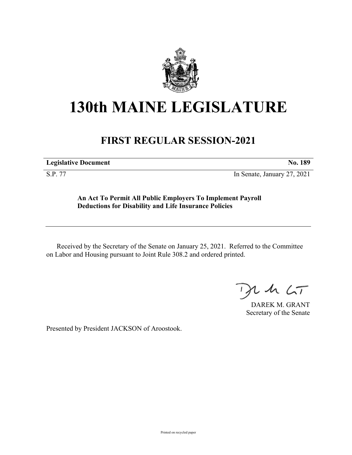

## **130th MAINE LEGISLATURE**

## **FIRST REGULAR SESSION-2021**

**Legislative Document No. 189**

S.P. 77 In Senate, January 27, 2021

**An Act To Permit All Public Employers To Implement Payroll Deductions for Disability and Life Insurance Policies**

Received by the Secretary of the Senate on January 25, 2021. Referred to the Committee on Labor and Housing pursuant to Joint Rule 308.2 and ordered printed.

 $125$ 

DAREK M. GRANT Secretary of the Senate

Presented by President JACKSON of Aroostook.